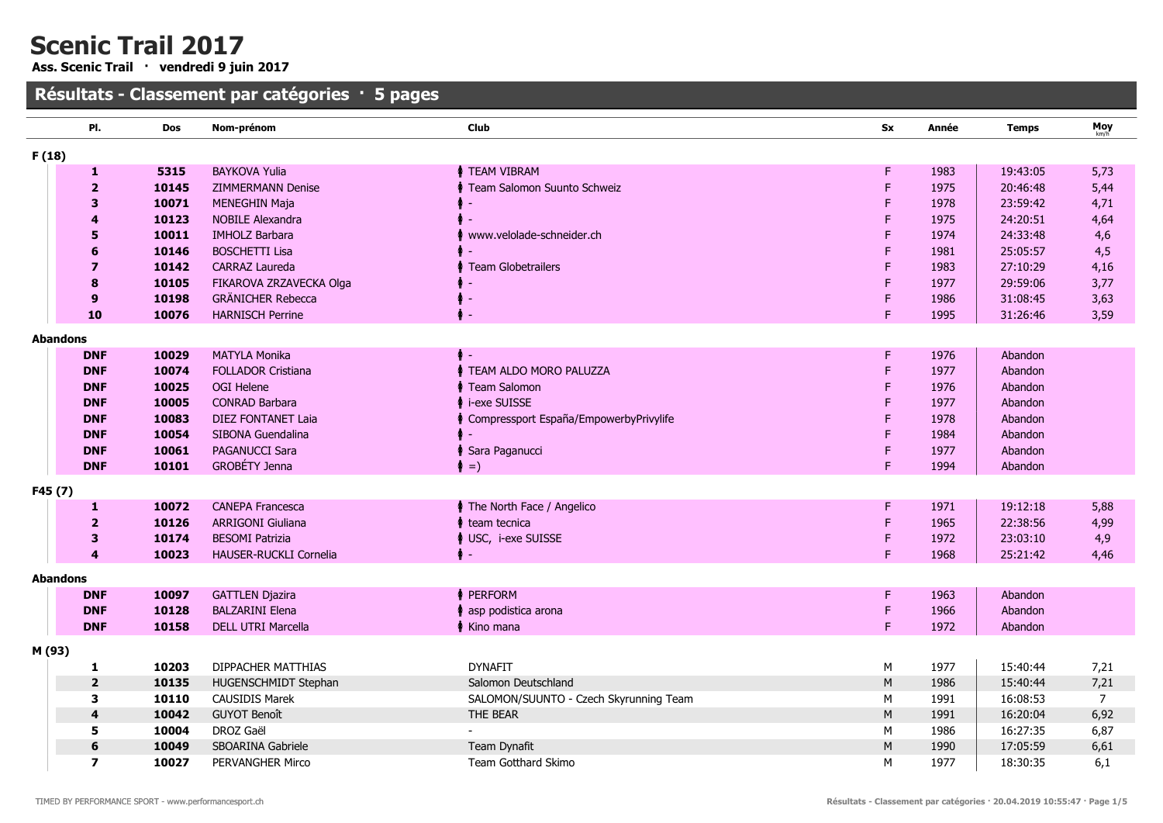Ass. Scenic Trail · vendredi 9 juin 2017

|        | PI.                     | <b>Dos</b> | Nom-prénom                | Club                                     | <b>Sx</b> | Année | <b>Temps</b> | Moy            |
|--------|-------------------------|------------|---------------------------|------------------------------------------|-----------|-------|--------------|----------------|
| F(18)  |                         |            |                           |                                          |           |       |              |                |
|        | 1                       | 5315       | <b>BAYKOVA Yulia</b>      | <b>↑ TEAM VIBRAM</b>                     | F         | 1983  | 19:43:05     | 5,73           |
|        | $\overline{\mathbf{2}}$ | 10145      | <b>ZIMMERMANN Denise</b>  | Team Salomon Suunto Schweiz              | F         | 1975  | 20:46:48     | 5,44           |
|        | 3                       | 10071      | <b>MENEGHIN Maja</b>      |                                          | F         | 1978  | 23:59:42     | 4,71           |
|        | 4                       | 10123      | <b>NOBILE Alexandra</b>   |                                          | F         | 1975  | 24:20:51     | 4,64           |
|        | 5                       | 10011      | <b>IMHOLZ Barbara</b>     | www.velolade-schneider.ch                | F         | 1974  | 24:33:48     | 4,6            |
|        | 6                       | 10146      | <b>BOSCHETTI Lisa</b>     |                                          |           | 1981  | 25:05:57     | 4,5            |
|        | $\overline{z}$          | 10142      | <b>CARRAZ Laureda</b>     | ♦ Team Globetrailers                     |           | 1983  | 27:10:29     | 4,16           |
|        | 8                       | 10105      | FIKAROVA ZRZAVECKA Olga   |                                          | F         | 1977  | 29:59:06     | 3,77           |
|        | 9                       | 10198      | <b>GRÄNICHER Rebecca</b>  |                                          | F         | 1986  | 31:08:45     | 3,63           |
|        | 10                      | 10076      | <b>HARNISCH Perrine</b>   | ♦.                                       | F         | 1995  | 31:26:46     | 3,59           |
|        | <b>Abandons</b>         |            |                           |                                          |           |       |              |                |
|        | <b>DNF</b>              | 10029      | <b>MATYLA Monika</b>      |                                          | F         | 1976  | Abandon      |                |
|        | <b>DNF</b>              | 10074      | <b>FOLLADOR Cristiana</b> | <b>TEAM ALDO MORO PALUZZA</b>            | F         | 1977  | Abandon      |                |
|        | <b>DNF</b>              | 10025      | <b>OGI Helene</b>         | ↑ Team Salomon                           | F         | 1976  | Abandon      |                |
|        | <b>DNF</b>              | 10005      | CONRAD Barbara            | ↑ i-exe SUISSE                           | F         | 1977  | Abandon      |                |
|        | <b>DNF</b>              | 10083      | <b>DIEZ FONTANET Laia</b> | ↑ Compressport España/EmpowerbyPrivylife |           | 1978  | Abandon      |                |
|        | <b>DNF</b>              | 10054      | SIBONA Guendalina         |                                          |           | 1984  | Abandon      |                |
|        | <b>DNF</b>              | 10061      | <b>PAGANUCCI Sara</b>     | Sara Paganucci                           | F         | 1977  | Abandon      |                |
|        | <b>DNF</b>              | 10101      | GROBÉTY Jenna             | $\uparrow$ =)                            | F         | 1994  | Abandon      |                |
| F45(7) |                         |            |                           |                                          |           |       |              |                |
|        | 1                       | 10072      | <b>CANEPA Francesca</b>   | <b>↑ The North Face / Angelico</b>       | F         | 1971  | 19:12:18     | 5,88           |
|        | $\overline{2}$          | 10126      | <b>ARRIGONI Giuliana</b>  | team tecnica                             | F         | 1965  | 22:38:56     | 4,99           |
|        | 3                       | 10174      | <b>BESOMI Patrizia</b>    | ♦ USC, i-exe SUISSE                      | F         | 1972  | 23:03:10     | 4,9            |
|        | 4                       | 10023      | HAUSER-RUCKLI Cornelia    | ۰                                        | F         | 1968  | 25:21:42     | 4,46           |
|        | <b>Abandons</b>         |            |                           |                                          |           |       |              |                |
|        | <b>DNF</b>              | 10097      | <b>GATTLEN Djazira</b>    | <b>↑ PERFORM</b>                         | F         | 1963  | Abandon      |                |
|        | <b>DNF</b>              | 10128      | <b>BALZARINI Elena</b>    | asp podistica arona                      | F         | 1966  | Abandon      |                |
|        | <b>DNF</b>              | 10158      | <b>DELL UTRI Marcella</b> | ♦ Kino mana                              | F         | 1972  | Abandon      |                |
| M (93) |                         |            |                           |                                          |           |       |              |                |
|        | 1                       | 10203      | <b>DIPPACHER MATTHIAS</b> | <b>DYNAFIT</b>                           | M         | 1977  | 15:40:44     | 7,21           |
|        | $\overline{2}$          | 10135      | HUGENSCHMIDT Stephan      | Salomon Deutschland                      | M         | 1986  | 15:40:44     | 7,21           |
|        | 3                       | 10110      | <b>CAUSIDIS Marek</b>     | SALOMON/SUUNTO - Czech Skyrunning Team   | M         | 1991  | 16:08:53     | $\overline{7}$ |
|        | 4                       | 10042      | <b>GUYOT Benoît</b>       | THE BEAR                                 | M         | 1991  | 16:20:04     | 6,92           |
|        | 5                       | 10004      | DROZ Gaël                 |                                          | M         | 1986  | 16:27:35     | 6,87           |
|        | 6                       | 10049      | SBOARINA Gabriele         | Team Dynafit                             | ${\sf M}$ | 1990  | 17:05:59     | 6,61           |
|        | $\overline{\mathbf{z}}$ | 10027      | PERVANGHER Mirco          | Team Gotthard Skimo                      | M         | 1977  | 18:30:35     | 6,1            |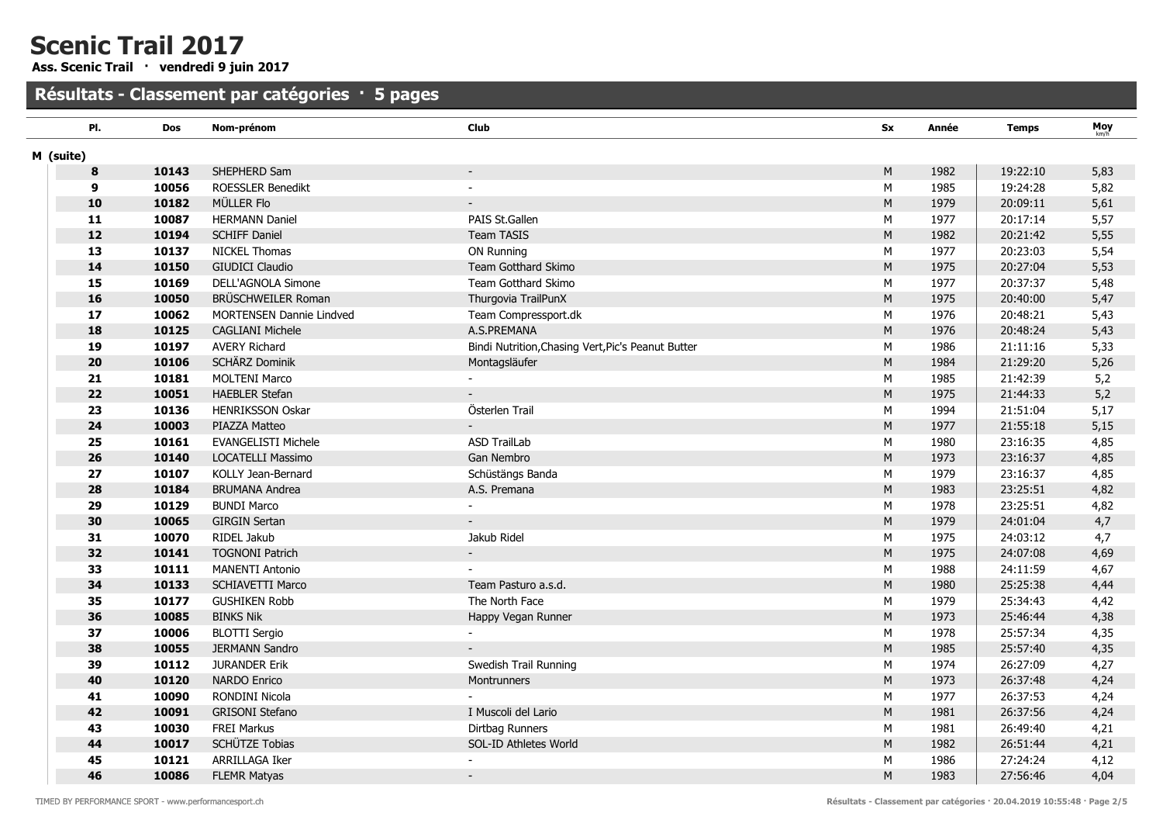Ass. Scenic Trail · vendredi 9 juin 2017

| PI.           | <b>Dos</b> | Nom-prénom                      | Club                                               | <b>Sx</b> | Année | <b>Temps</b> | Moy  |
|---------------|------------|---------------------------------|----------------------------------------------------|-----------|-------|--------------|------|
| M (suite)     |            |                                 |                                                    |           |       |              |      |
| 8             | 10143      | SHEPHERD Sam                    | $\overline{\phantom{a}}$                           | M         | 1982  | 19:22:10     | 5,83 |
| 9             | 10056      | <b>ROESSLER Benedikt</b>        | $\sim$                                             | M         | 1985  | 19:24:28     | 5,82 |
| 10            | 10182      | MÜLLER Flo                      | $\sim$                                             | ${\sf M}$ | 1979  | 20:09:11     | 5,61 |
| $\mathbf{11}$ | 10087      | <b>HERMANN Daniel</b>           | PAIS St.Gallen                                     | М         | 1977  | 20:17:14     | 5,57 |
| ${\bf 12}$    | 10194      | <b>SCHIFF Daniel</b>            | Team TASIS                                         | ${\sf M}$ | 1982  | 20:21:42     | 5,55 |
| 13            | 10137      | <b>NICKEL Thomas</b>            | ON Running                                         | M         | 1977  | 20:23:03     | 5,54 |
| 14            | 10150      | <b>GIUDICI Claudio</b>          | Team Gotthard Skimo                                | ${\sf M}$ | 1975  | 20:27:04     | 5,53 |
| 15            | 10169      | DELL'AGNOLA Simone              | Team Gotthard Skimo                                | M         | 1977  | 20:37:37     | 5,48 |
| 16            | 10050      | BRÜSCHWEILER Roman              | Thurgovia TrailPunX                                | ${\sf M}$ | 1975  | 20:40:00     | 5,47 |
| 17            | 10062      | <b>MORTENSEN Dannie Lindved</b> | Team Compressport.dk                               | M         | 1976  | 20:48:21     | 5,43 |
| 18            | 10125      | <b>CAGLIANI Michele</b>         | A.S.PREMANA                                        | M         | 1976  | 20:48:24     | 5,43 |
| 19            | 10197      | <b>AVERY Richard</b>            | Bindi Nutrition, Chasing Vert, Pic's Peanut Butter | M         | 1986  | 21:11:16     | 5,33 |
| 20            | 10106      | SCHÄRZ Dominik                  | Montagsläufer                                      | M         | 1984  | 21:29:20     | 5,26 |
| 21            | 10181      | <b>MOLTENI Marco</b>            |                                                    | M         | 1985  | 21:42:39     | 5,2  |
| 22            | 10051      | <b>HAEBLER Stefan</b>           |                                                    | M         | 1975  | 21:44:33     | 5,2  |
| 23            | 10136      | HENRIKSSON Oskar                | Österlen Trail                                     | M         | 1994  | 21:51:04     | 5,17 |
| 24            | 10003      | PIAZZA Matteo                   |                                                    | ${\sf M}$ | 1977  | 21:55:18     | 5,15 |
| 25            | 10161      | <b>EVANGELISTI Michele</b>      | <b>ASD TrailLab</b>                                | M         | 1980  | 23:16:35     | 4,85 |
| 26            | 10140      | LOCATELLI Massimo               | Gan Nembro                                         | ${\sf M}$ | 1973  | 23:16:37     | 4,85 |
| 27            | 10107      | KOLLY Jean-Bernard              | Schüstängs Banda                                   | M         | 1979  | 23:16:37     | 4,85 |
| 28            | 10184      | <b>BRUMANA Andrea</b>           | A.S. Premana                                       | ${\sf M}$ | 1983  | 23:25:51     | 4,82 |
| 29            | 10129      | <b>BUNDI Marco</b>              | $\sim$                                             | М         | 1978  | 23:25:51     | 4,82 |
| 30            | 10065      | <b>GIRGIN Sertan</b>            | $\sim$                                             | ${\sf M}$ | 1979  | 24:01:04     | 4,7  |
| 31            | 10070      | RIDEL Jakub                     | Jakub Ridel                                        | M         | 1975  | 24:03:12     | 4,7  |
| 32            | 10141      | <b>TOGNONI Patrich</b>          |                                                    | ${\sf M}$ | 1975  | 24:07:08     | 4,69 |
| 33            | 10111      | <b>MANENTI Antonio</b>          |                                                    | M         | 1988  | 24:11:59     | 4,67 |
| 34            | 10133      | <b>SCHIAVETTI Marco</b>         | Team Pasturo a.s.d.                                | ${\sf M}$ | 1980  | 25:25:38     | 4,44 |
| 35            | 10177      | <b>GUSHIKEN Robb</b>            | The North Face                                     | M         | 1979  | 25:34:43     | 4,42 |
| 36            | 10085      | <b>BINKS Nik</b>                | Happy Vegan Runner                                 | M         | 1973  | 25:46:44     | 4,38 |
| 37            | 10006      | <b>BLOTTI Sergio</b>            |                                                    | M         | 1978  | 25:57:34     | 4,35 |
| 38            | 10055      | <b>JERMANN Sandro</b>           |                                                    | M         | 1985  | 25:57:40     | 4,35 |
| 39            | 10112      | <b>JURANDER Erik</b>            | Swedish Trail Running                              | M         | 1974  | 26:27:09     | 4,27 |
| 40            | 10120      | <b>NARDO Enrico</b>             | Montrunners                                        | M         | 1973  | 26:37:48     | 4,24 |
| 41            | 10090      | RONDINI Nicola                  |                                                    | M         | 1977  | 26:37:53     | 4,24 |
| 42            | 10091      | <b>GRISONI Stefano</b>          | I Muscoli del Lario                                | M         | 1981  | 26:37:56     | 4,24 |
| 43            | 10030      | <b>FREI Markus</b>              | Dirtbag Runners                                    | M         | 1981  | 26:49:40     | 4,21 |
| 44            | 10017      | SCHÜTZE Tobias                  | SOL-ID Athletes World                              | ${\sf M}$ | 1982  | 26:51:44     | 4,21 |
| 45            | 10121      | ARRILLAGA Iker                  |                                                    | M         | 1986  | 27:24:24     | 4,12 |
| 46            | 10086      | <b>FLEMR Matyas</b>             |                                                    | M         | 1983  | 27:56:46     | 4,04 |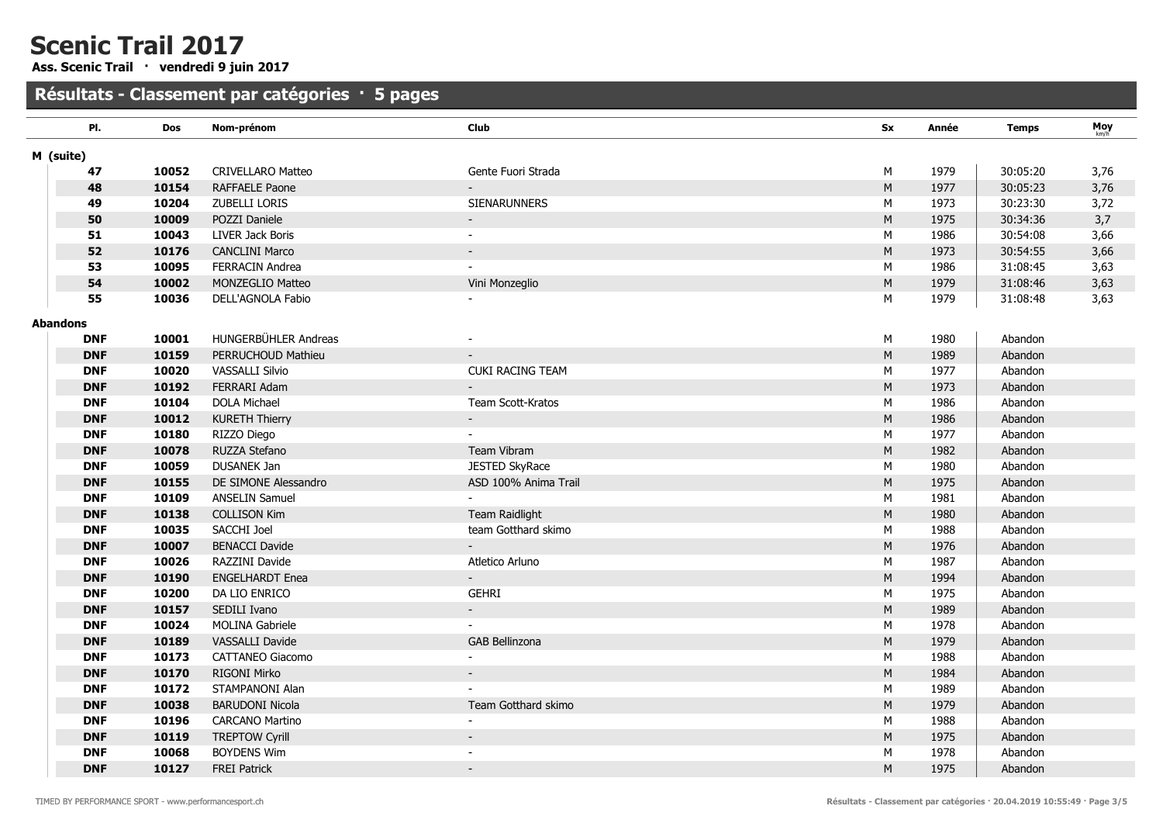Ass. Scenic Trail · vendredi 9 juin 2017

| PI.        | Dos   | Nom-prénom               | Club                 | Sx        | Année | <b>Temps</b> | Moy  |
|------------|-------|--------------------------|----------------------|-----------|-------|--------------|------|
| M (suite)  |       |                          |                      |           |       |              |      |
| 47         | 10052 | <b>CRIVELLARO Matteo</b> | Gente Fuori Strada   | М         | 1979  | 30:05:20     | 3,76 |
| 48         | 10154 | RAFFAELE Paone           |                      | $\sf M$   | 1977  | 30:05:23     | 3,76 |
| 49         | 10204 | ZUBELLI LORIS            | <b>SIENARUNNERS</b>  | М         | 1973  | 30:23:30     | 3,72 |
| 50         | 10009 | POZZI Daniele            |                      | $\sf M$   | 1975  | 30:34:36     | 3,7  |
| 51         | 10043 | LIVER Jack Boris         | $\sim$               | М         | 1986  | 30:54:08     | 3,66 |
| 52         | 10176 | <b>CANCLINI Marco</b>    |                      | ${\sf M}$ | 1973  | 30:54:55     | 3,66 |
| 53         | 10095 | <b>FERRACIN Andrea</b>   |                      | М         | 1986  | 31:08:45     | 3,63 |
| 54         | 10002 | MONZEGLIO Matteo         | Vini Monzeglio       | M         | 1979  | 31:08:46     | 3,63 |
| 55         | 10036 | DELL'AGNOLA Fabio        |                      | M         | 1979  | 31:08:48     | 3,63 |
| Abandons   |       |                          |                      |           |       |              |      |
| <b>DNF</b> | 10001 | HUNGERBÜHLER Andreas     |                      | M         | 1980  | Abandon      |      |
| <b>DNF</b> | 10159 | PERRUCHOUD Mathieu       |                      | M         | 1989  | Abandon      |      |
| <b>DNF</b> | 10020 | VASSALLI Silvio          | CUKI RACING TEAM     | M         | 1977  | Abandon      |      |
| <b>DNF</b> | 10192 | FERRARI Adam             |                      | M         | 1973  | Abandon      |      |
| <b>DNF</b> | 10104 | <b>DOLA Michael</b>      | Team Scott-Kratos    | M         | 1986  | Abandon      |      |
| <b>DNF</b> | 10012 | <b>KURETH Thierry</b>    | $\sim$               | ${\sf M}$ | 1986  | Abandon      |      |
| <b>DNF</b> | 10180 | RIZZO Diego              |                      | M         | 1977  | Abandon      |      |
| <b>DNF</b> | 10078 | RUZZA Stefano            | Team Vibram          | ${\sf M}$ | 1982  | Abandon      |      |
| <b>DNF</b> | 10059 | DUSANEK Jan              | JESTED SkyRace       | M         | 1980  | Abandon      |      |
| <b>DNF</b> | 10155 | DE SIMONE Alessandro     | ASD 100% Anima Trail | ${\sf M}$ | 1975  | Abandon      |      |
| <b>DNF</b> | 10109 | <b>ANSELIN Samuel</b>    |                      | M         | 1981  | Abandon      |      |
| <b>DNF</b> | 10138 | <b>COLLISON Kim</b>      | Team Raidlight       | M         | 1980  | Abandon      |      |
| <b>DNF</b> | 10035 | SACCHI Joel              | team Gotthard skimo  | M         | 1988  | Abandon      |      |
| <b>DNF</b> | 10007 | <b>BENACCI Davide</b>    |                      | M         | 1976  | Abandon      |      |
| <b>DNF</b> | 10026 | RAZZINI Davide           | Atletico Arluno      | M         | 1987  | Abandon      |      |
| <b>DNF</b> | 10190 | <b>ENGELHARDT Enea</b>   |                      | ${\sf M}$ | 1994  | Abandon      |      |
| <b>DNF</b> | 10200 | DA LIO ENRICO            | <b>GEHRI</b>         | M         | 1975  | Abandon      |      |
| <b>DNF</b> | 10157 | SEDILI Ivano             | $\sim$               | ${\sf M}$ | 1989  | Abandon      |      |
| <b>DNF</b> | 10024 | <b>MOLINA Gabriele</b>   |                      | M         | 1978  | Abandon      |      |
| <b>DNF</b> | 10189 | VASSALLI Davide          | GAB Bellinzona       | ${\sf M}$ | 1979  | Abandon      |      |
| <b>DNF</b> | 10173 | <b>CATTANEO Giacomo</b>  |                      | М         | 1988  | Abandon      |      |
| <b>DNF</b> | 10170 | RIGONI Mirko             |                      | M         | 1984  | Abandon      |      |
| <b>DNF</b> | 10172 | STAMPANONI Alan          |                      | M         | 1989  | Abandon      |      |
| <b>DNF</b> | 10038 | <b>BARUDONI Nicola</b>   | Team Gotthard skimo  | M         | 1979  | Abandon      |      |
| <b>DNF</b> | 10196 | <b>CARCANO Martino</b>   |                      | M         | 1988  | Abandon      |      |
| <b>DNF</b> | 10119 | <b>TREPTOW Cyrill</b>    |                      | M         | 1975  | Abandon      |      |
| <b>DNF</b> | 10068 | <b>BOYDENS Wim</b>       |                      | M         | 1978  | Abandon      |      |
| <b>DNF</b> | 10127 | <b>FREI Patrick</b>      |                      | M         | 1975  | Abandon      |      |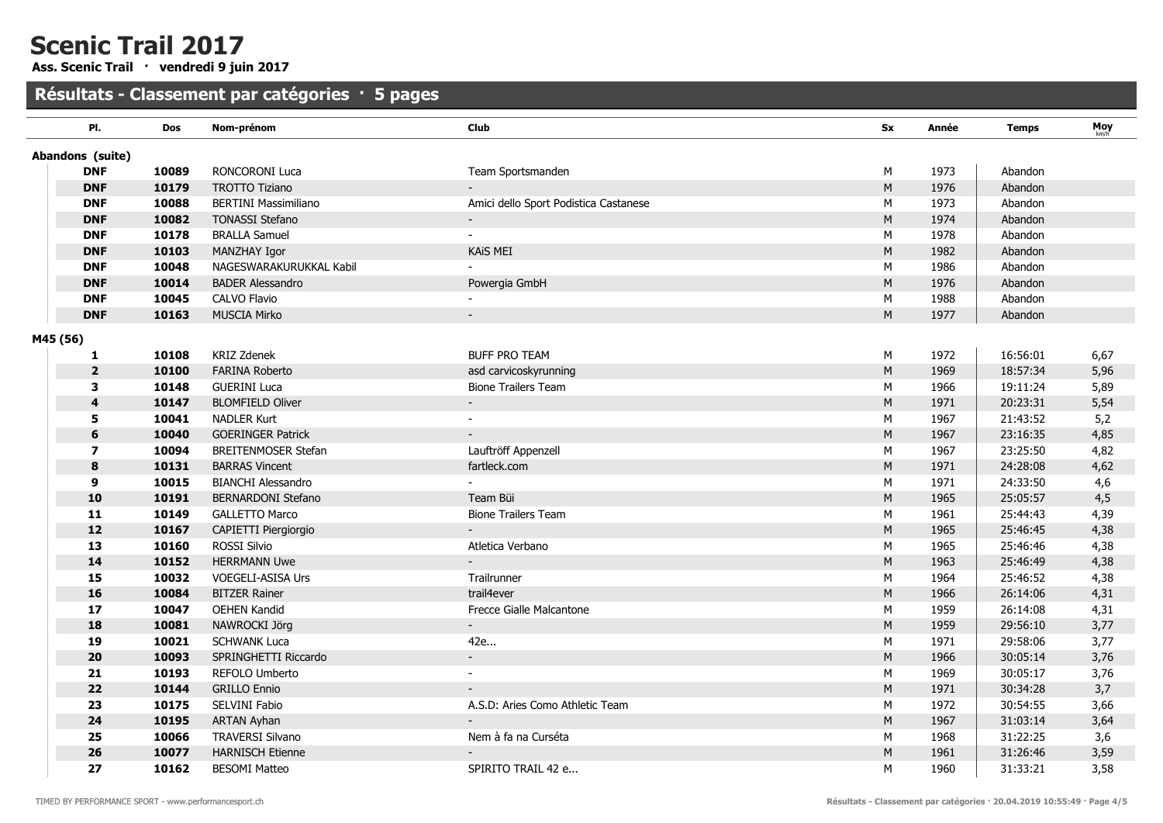Ass. Scenic Trail · vendredi 9 juin 2017

| PI.                     | <b>Dos</b> | Nom-prénom                  | Club                                  | <b>Sx</b> | Année | <b>Temps</b> | Moy  |
|-------------------------|------------|-----------------------------|---------------------------------------|-----------|-------|--------------|------|
| Abandons (suite)        |            |                             |                                       |           |       |              |      |
| <b>DNF</b>              | 10089      | RONCORONI Luca              | Team Sportsmanden                     | M         | 1973  | Abandon      |      |
| <b>DNF</b>              | 10179      | <b>TROTTO Tiziano</b>       |                                       | M         | 1976  | Abandon      |      |
| <b>DNF</b>              | 10088      | <b>BERTINI Massimiliano</b> | Amici dello Sport Podistica Castanese | M         | 1973  | Abandon      |      |
| <b>DNF</b>              | 10082      | <b>TONASSI Stefano</b>      |                                       | ${\sf M}$ | 1974  | Abandon      |      |
| <b>DNF</b>              | 10178      | <b>BRALLA Samuel</b>        |                                       | M         | 1978  | Abandon      |      |
| <b>DNF</b>              | 10103      | MANZHAY Igor                | <b>KAIS MEI</b>                       | ${\sf M}$ | 1982  | Abandon      |      |
| <b>DNF</b>              | 10048      | NAGESWARAKURUKKAL Kabil     |                                       | M         | 1986  | Abandon      |      |
| <b>DNF</b>              | 10014      | <b>BADER Alessandro</b>     | Powergia GmbH                         | $\sf M$   | 1976  | Abandon      |      |
| <b>DNF</b>              | 10045      | CALVO Flavio                |                                       | M         | 1988  | Abandon      |      |
| <b>DNF</b>              | 10163      | <b>MUSCIA Mirko</b>         | $\overline{\phantom{a}}$              | M         | 1977  | Abandon      |      |
| M45 (56)                |            |                             |                                       |           |       |              |      |
| 1                       | 10108      | <b>KRIZ Zdenek</b>          | <b>BUFF PRO TEAM</b>                  | M         | 1972  | 16:56:01     | 6,67 |
| $\overline{2}$          | 10100      | <b>FARINA Roberto</b>       | asd carvicoskyrunning                 | $\sf M$   | 1969  | 18:57:34     | 5,96 |
| 3                       | 10148      | <b>GUERINI Luca</b>         | <b>Bione Trailers Team</b>            | М         | 1966  | 19:11:24     | 5,89 |
| 4                       | 10147      | <b>BLOMFIELD Oliver</b>     | $\sim$                                | ${\sf M}$ | 1971  | 20:23:31     | 5,54 |
| 5                       | 10041      | <b>NADLER Kurt</b>          | $\sim$                                | M         | 1967  | 21:43:52     | 5,2  |
| 6                       | 10040      | <b>GOERINGER Patrick</b>    |                                       | ${\sf M}$ | 1967  | 23:16:35     | 4,85 |
| $\overline{\mathbf{z}}$ | 10094      | <b>BREITENMOSER Stefan</b>  | Lauftröff Appenzell                   | M         | 1967  | 23:25:50     | 4,82 |
| 8                       | 10131      | <b>BARRAS Vincent</b>       | fartleck.com                          | M         | 1971  | 24:28:08     | 4,62 |
| 9                       | 10015      | <b>BIANCHI Alessandro</b>   |                                       | M         | 1971  | 24:33:50     | 4,6  |
| 10                      | 10191      | <b>BERNARDONI Stefano</b>   | Team Büi                              | M         | 1965  | 25:05:57     | 4,5  |
| 11                      | 10149      | <b>GALLETTO Marco</b>       | <b>Bione Trailers Team</b>            | M         | 1961  | 25:44:43     | 4,39 |
| 12                      | 10167      | CAPIETTI Piergiorgio        |                                       | M         | 1965  | 25:46:45     | 4,38 |
| 13                      | 10160      | ROSSI Silvio                | Atletica Verbano                      | M         | 1965  | 25:46:46     | 4,38 |
| 14                      | 10152      | <b>HERRMANN Uwe</b>         | $\overline{\phantom{a}}$              | ${\sf M}$ | 1963  | 25:46:49     | 4,38 |
| 15                      | 10032      | VOEGELI-ASISA Urs           | Trailrunner                           | M         | 1964  | 25:46:52     | 4,38 |
| 16                      | 10084      | <b>BITZER Rainer</b>        | trail4ever                            | ${\sf M}$ | 1966  | 26:14:06     | 4,31 |
| 17                      | 10047      | <b>OEHEN Kandid</b>         | Frecce Gialle Malcantone              | M         | 1959  | 26:14:08     | 4,31 |
| 18                      | 10081      | NAWROCKI Jörg               | $\mathcal{L}^{\mathcal{L}}$           | ${\sf M}$ | 1959  | 29:56:10     | 3,77 |
| 19                      | 10021      | <b>SCHWANK Luca</b>         | 42e                                   | M         | 1971  | 29:58:06     | 3,77 |
| 20                      | 10093      | SPRINGHETTI Riccardo        | ÷.                                    | M         | 1966  | 30:05:14     | 3,76 |
| 21                      | 10193      | REFOLO Umberto              | $\blacksquare$                        | M         | 1969  | 30:05:17     | 3,76 |
| 22                      | 10144      | <b>GRILLO Ennio</b>         |                                       | M         | 1971  | 30:34:28     | 3,7  |
| 23                      | 10175      | SELVINI Fabio               | A.S.D: Aries Como Athletic Team       | M         | 1972  | 30:54:55     | 3,66 |
| 24                      | 10195      | <b>ARTAN Ayhan</b>          |                                       | M         | 1967  | 31:03:14     | 3,64 |
| 25                      | 10066      | <b>TRAVERSI Silvano</b>     | Nem à fa na Curséta                   | М         | 1968  | 31:22:25     | 3,6  |
| 26                      | 10077      | <b>HARNISCH Etienne</b>     |                                       | M         | 1961  | 31:26:46     | 3,59 |
| 27                      | 10162      | <b>BESOMI Matteo</b>        | SPIRITO TRAIL 42 e                    | M         | 1960  | 31:33:21     | 3,58 |